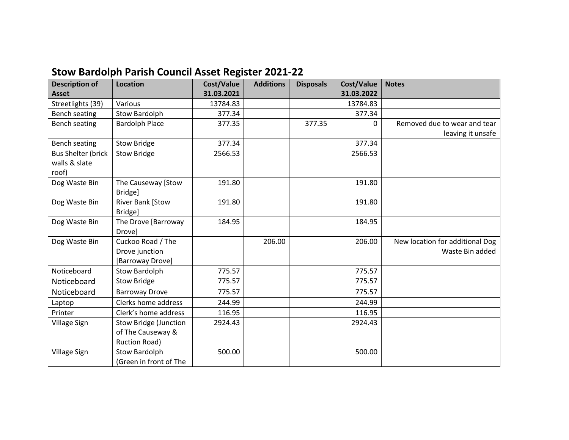## **Stow Bardolph Parish Council Asset Register 2021-22**

| <b>Description of</b>     | <b>Location</b>              | Cost/Value | <b>Additions</b> | <b>Disposals</b> | <b>Cost/Value</b> | <b>Notes</b>                    |
|---------------------------|------------------------------|------------|------------------|------------------|-------------------|---------------------------------|
| <b>Asset</b>              |                              | 31.03.2021 |                  |                  | 31.03.2022        |                                 |
| Streetlights (39)         | Various                      | 13784.83   |                  |                  | 13784.83          |                                 |
| Bench seating             | <b>Stow Bardolph</b>         | 377.34     |                  |                  | 377.34            |                                 |
| Bench seating             | <b>Bardolph Place</b>        | 377.35     |                  | 377.35           | 0                 | Removed due to wear and tear    |
|                           |                              |            |                  |                  |                   | leaving it unsafe               |
| <b>Bench seating</b>      | <b>Stow Bridge</b>           | 377.34     |                  |                  | 377.34            |                                 |
| <b>Bus Shelter (brick</b> | <b>Stow Bridge</b>           | 2566.53    |                  |                  | 2566.53           |                                 |
| walls & slate             |                              |            |                  |                  |                   |                                 |
| roof)                     |                              |            |                  |                  |                   |                                 |
| Dog Waste Bin             | The Causeway [Stow           | 191.80     |                  |                  | 191.80            |                                 |
|                           | Bridge]                      |            |                  |                  |                   |                                 |
| Dog Waste Bin             | <b>River Bank [Stow</b>      | 191.80     |                  |                  | 191.80            |                                 |
|                           | Bridge]                      |            |                  |                  |                   |                                 |
| Dog Waste Bin             | The Drove [Barroway          | 184.95     |                  |                  | 184.95            |                                 |
|                           | Drove]                       |            |                  |                  |                   |                                 |
| Dog Waste Bin             | Cuckoo Road / The            |            | 206.00           |                  | 206.00            | New location for additional Dog |
|                           | Drove junction               |            |                  |                  |                   | Waste Bin added                 |
|                           | [Barroway Drove]             |            |                  |                  |                   |                                 |
| Noticeboard               | <b>Stow Bardolph</b>         | 775.57     |                  |                  | 775.57            |                                 |
| Noticeboard               | <b>Stow Bridge</b>           | 775.57     |                  |                  | 775.57            |                                 |
| Noticeboard               | <b>Barroway Drove</b>        | 775.57     |                  |                  | 775.57            |                                 |
| Laptop                    | Clerks home address          | 244.99     |                  |                  | 244.99            |                                 |
| Printer                   | Clerk's home address         | 116.95     |                  |                  | 116.95            |                                 |
| <b>Village Sign</b>       | <b>Stow Bridge (Junction</b> | 2924.43    |                  |                  | 2924.43           |                                 |
|                           | of The Causeway &            |            |                  |                  |                   |                                 |
|                           | Ruction Road)                |            |                  |                  |                   |                                 |
| Village Sign              | <b>Stow Bardolph</b>         | 500.00     |                  |                  | 500.00            |                                 |
|                           | (Green in front of The       |            |                  |                  |                   |                                 |